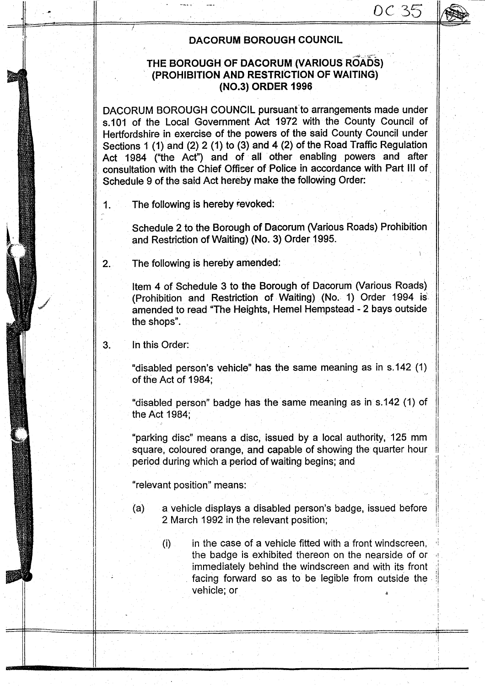## $OC35$

#### **DACORUM BOROUGH** COUNCIL

#### **THE BOROUGH OF DACORUM (VARIOUS ROADS) (PROHIBITION AND RESTRICTION** OF WAITING) **(NO.3) ORDER 1996**

DACORUM BOROUGH COUNCIL pursuant **to arrangements made under** s.101 of the Local Government Act 1972 with the County Council of Hertfordshire **in exercise of the powers of the said** County Council under Sections 1 ( **1) and** (2) 2 (1) to (3) and 4 (2) of the Road Traffic **Regulation** Act 1984 ("the Act") **and of all other enabling powers and after consultation** with the Chief Officer of **Police in accordance** with Part III of Schedule 9 of the said Act hereby make the following Order:

1. The following is hereby **revoked:**

Schedule **2 to the Borough of Dacorum** (Various **Roads**) Prohibition and Restriction of Waiting) (No. 3) Order 1995.

2. The following is hereby amended:

Item 4 of Schedule **3 to the Borough** of Dacorum (Various Roads) (Prohibition and Restriction of Waiting) (No.- 1) Order 1994 is amended to read "The Heights, Hemel Hempstead - 2 bays outside the shops".

3. In this Order:

"disabled person's vehicle" **has the same meaning as** in s.142 (1) of the Act of 1984;

"disabled person**" badge has the same meaning as in s** .142 (1) of the Act 1984;

<sup>91</sup> parking disc" **means a disc**, **issued b**y **a local** authority, 125 mm **square** , coloured orange, **and capable** of showing the quarter hour period during which a period of waiting begins; and

"relevant position" means:

- (a) a vehicle displays a disabled person's badge, issued before 2 March 1992 in the relevant position;
	- $(i)$  in the case of a vehicle fitted with a front windscreen, the badge is exhibited thereon on the nearside of or immediately behind the windscreen and with its front facing forward so as to be legible from outside the vehicle; or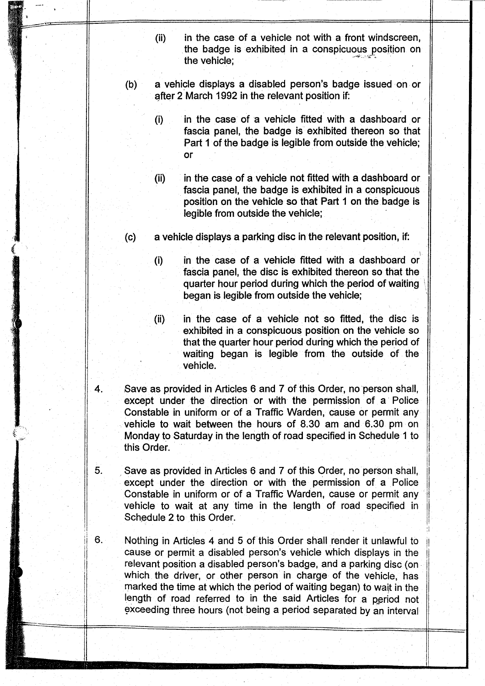- (ii) in the case of a vehicle not with a front windscreen, **the badge is exhibited in a conspicuous position on** the vehicle;
- **(b) a vehicle displays a disabled person's badge issued on or after 2 March 1992 in the relevant position if-**
	- **(i) in the case of** '**a vehicle fitted with a dashboard or fascia panel** , **the badge is exhibited thereon so that Part 1 of the badge is legible from outside the vehicle;** or
	- **(ii) in the case of a vehicle not fitted with a dashboard or fascia panel** , **the badge is exhibited in a conspicuous position on the vehicle so that Part 1 on the badge is legible from outside the vehicle;**
- **(c) a vehicle displays a parking disc in the relevant position, if:**
	- **(i) in the case of a vehicle fitted with a dashboard or fascia panel** , **the disc is exhibited thereon so that the quarter hour period during which the period of waiting began is legible from outside the vehicle;**
	- (ii) in the case of a vehicle not so fitted, the disc is **exhibited in a conspicuous position on the vehicle so that the quarter hour period during which the period of waiting began is legible from the outside of the** vehicle.
- 4. Save as provided in Articles 6 and 7 of this Order, no person shall, **except under the direction** or with **the permission of a Police Constable in uniform or** of a Traffic **Warden**, **cause or permit any vehicle to wait between the hours of 8** . **30 am and 6** .30 pm on Monday to Saturday in the length of road specified in Schedule 1 to this Order.
- 5. Save as provided in Articles 6 and 7 of this Order, no person shall, **except under the direction or with the permission of a Police** Constable in uniform or of a Traffic Warden, cause or permit any vehicle to wait at any time in the length of road specified in Schedule 2 to this Order.
- 6. Nothing in Articles 4 and 5 of this Order shall render it unlawful to cause or permit a disabled person's vehicle which displays in the relevant position a disabled person's badge, and a parking disc (on which the driver, or other person in charge of the vehicle, has **marked the time at which the period of waiting began**) **to wait in the** length of road referred to in the said Articles for a period not exceeding three hours (not being a period separated by an interval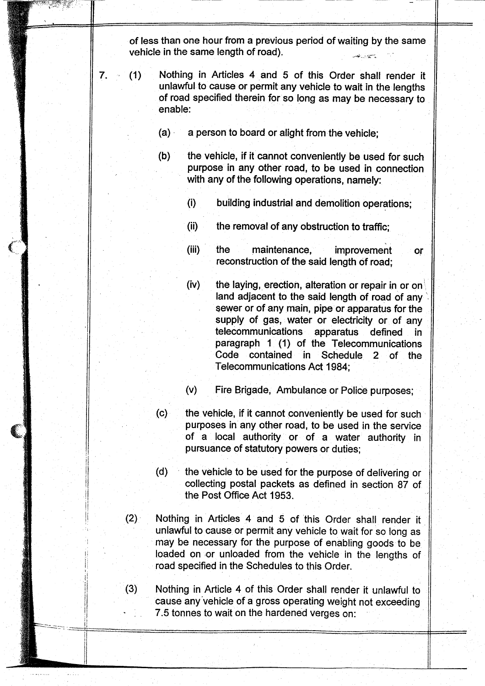**of less than one hour from a previous period of waiting by the same vehicle in the same length of road).**

- **7. (1) Nothing in Articles 4 and 5 of this Order shall render it unlawful to cause or permit any vehicle to wait in the lengths of road specified therein for so long as may be necessary to enable:**
	- **(a) a person to board or alight from the vehicle;**
	- **(b) the vehicle**, **if it cannot conveniently be used for such** purpose in any other road, to be used in connection **with any of the following operations** , **namely:**
		- **(i) building industrial and demolition operations;**
		- **(ii) the removal of any obstruction to traffic;**
		- (iii) the **maintenance** , **improvement or reconstruction of the said length of road;**
		- **(iv) the laying** ,, **erection** , **alteration or repair in or on land adjacent to the said length of road of any** sewer or of any main, pipe or apparatus for the **supply of gas, water or electricity or of any telecommunications apparatus defined in paragraph 1 (1) of the Telecommunications Code contained in Schedule 2 of the Telecommunications Act 1984;**
		- **(v) Fire Brigade** , **Ambulance or Police purposes;**
	- **(c) the vehicle**, **if it cannot conveniently be used for such purposes in any other road** , **to be used in the service** of a local **authority or of a water authority in pursuance of statutory powers or duties;**
	- **(d) the vehicle to be used for the purpose of delivering or collecting postal packets as defined in section 87 of it the Post Office Act 1953.**
	- **(2) Nothing in Articles 4 and 5 of this Order shall render it unlawful to cause or permit any vehicle to wait for so long as may be necessary for the purpose of enabling goods to be loaded on or unloaded from the vehicle in the lengths of road specified in the Schedules to this Order.**
	- **(3) Nothing in Article 4 of this Order shall render it unlawful to cause any'vehicle of a gross operating weight not exceeding 7.5 tonnes to wait on the hardened verges on:**

ry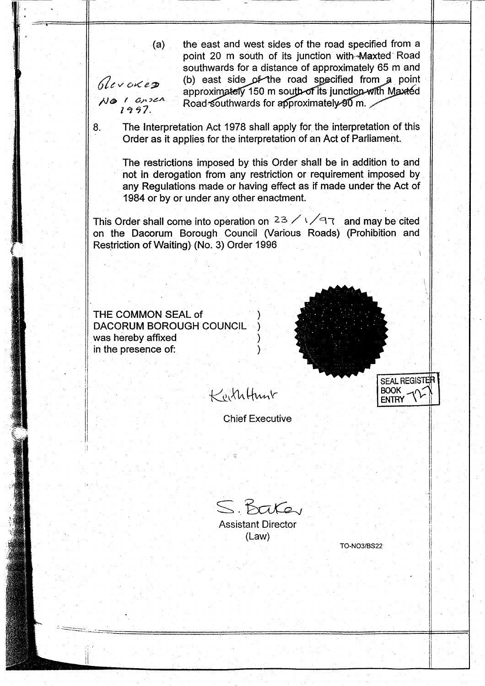**(a) the east and west sides of the road specified from a** point 20 m south of its junction with-Maxted Road **southwards for a distance of approximately 65 m and** (b) east side of the road specified from a point approximately 150 m south of its junction with Maxted **Road southwards for approximately 90 m.** 

Glevoxes  $N$ a 1 cnsen<br>1997.

8. The **Interpretation** Act 1978 shall apply for **the interpretation of this Order as it applies for the interpretation of an Act of Parliament.**

**The restrictions imposed by this Order shall be in addition to and not in derogation from any restriction or requirement imposed by any Regulations made or having effect as if made under the Act of 1984 or by or under any other enactment.**

This Order shall come into operation on  $23 \angle 1 \angle 97$  and may be cited **on the Dacorum Borough Council** (**Various Roads**) (**Prohibition and Restriction of Waiting** ) (**No. 3) Order 1996**

**THE COMMON** SEAL of ) DACORUM BOROUGH COUNCIL **was hereby affixed ) in the presence of: )**

sa' .r



Keiththant

Chief Executive

S. Baker

Assistant Director (Law)

TO-**NO31BS22**

**ENTRY**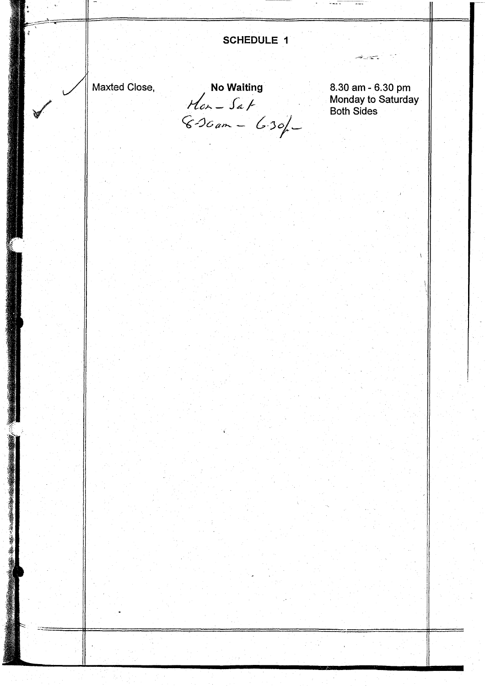$\frac{1}{2}$ **SCHEDULE I** Maxted Close,<br> **No Waiting**<br>
8.30 am - 6.30 pm Monday to Saturday Both Sides